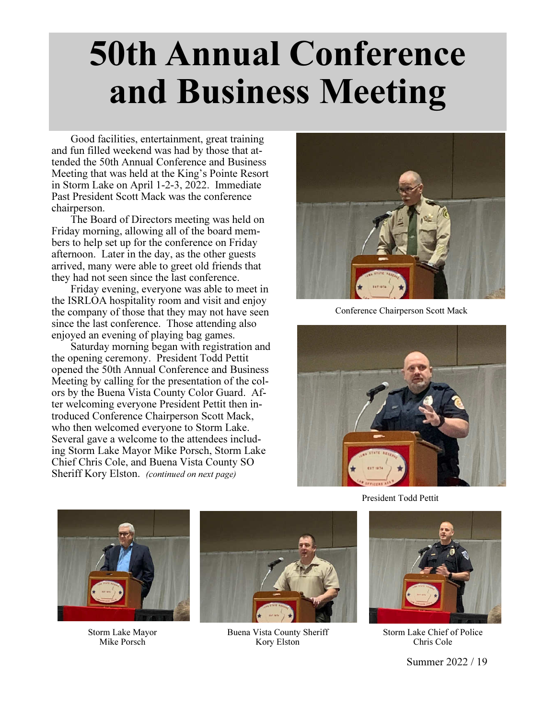## 50th Annual Conference and Business Meeting

 Good facilities, entertainment, great training and fun filled weekend was had by those that attended the 50th Annual Conference and Business Meeting that was held at the King's Pointe Resort in Storm Lake on April 1-2-3, 2022. Immediate Past President Scott Mack was the conference chairperson.

 The Board of Directors meeting was held on Friday morning, allowing all of the board members to help set up for the conference on Friday afternoon. Later in the day, as the other guests arrived, many were able to greet old friends that they had not seen since the last conference.

 Friday evening, everyone was able to meet in the ISRLOA hospitality room and visit and enjoy the company of those that they may not have seen since the last conference. Those attending also enjoyed an evening of playing bag games.

 Saturday morning began with registration and the opening ceremony. President Todd Pettit opened the 50th Annual Conference and Business Meeting by calling for the presentation of the colors by the Buena Vista County Color Guard. After welcoming everyone President Pettit then introduced Conference Chairperson Scott Mack, who then welcomed everyone to Storm Lake. Several gave a welcome to the attendees including Storm Lake Mayor Mike Porsch, Storm Lake Chief Chris Cole, and Buena Vista County SO Sheriff Kory Elston. (continued on next page)



Conference Chairperson Scott Mack



President Todd Pettit



Storm Lake Mayor Mike Porsch



Buena Vista County Sheriff Kory Elston



Storm Lake Chief of Police Chris Cole

Summer 2022 / 19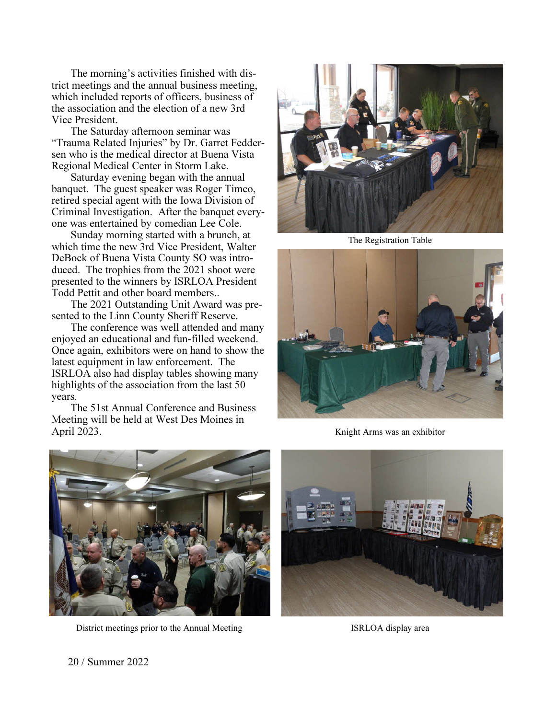The morning's activities finished with district meetings and the annual business meeting, which included reports of officers, business of the association and the election of a new 3rd Vice President.

 The Saturday afternoon seminar was "Trauma Related Injuries" by Dr. Garret Feddersen who is the medical director at Buena Vista Regional Medical Center in Storm Lake.

 Saturday evening began with the annual banquet. The guest speaker was Roger Timco, retired special agent with the Iowa Division of Criminal Investigation. After the banquet everyone was entertained by comedian Lee Cole.

 Sunday morning started with a brunch, at which time the new 3rd Vice President, Walter DeBock of Buena Vista County SO was introduced. The trophies from the 2021 shoot were presented to the winners by ISRLOA President Todd Pettit and other board members..

 The 2021 Outstanding Unit Award was presented to the Linn County Sheriff Reserve.

 The conference was well attended and many enjoyed an educational and fun-filled weekend. Once again, exhibitors were on hand to show the latest equipment in law enforcement. The ISRLOA also had display tables showing many highlights of the association from the last 50 years.

 The 51st Annual Conference and Business Meeting will be held at West Des Moines in April 2023.



The Registration Table



Knight Arms was an exhibitor



District meetings prior to the Annual Meeting ISRLOA display area



20 / Summer 2022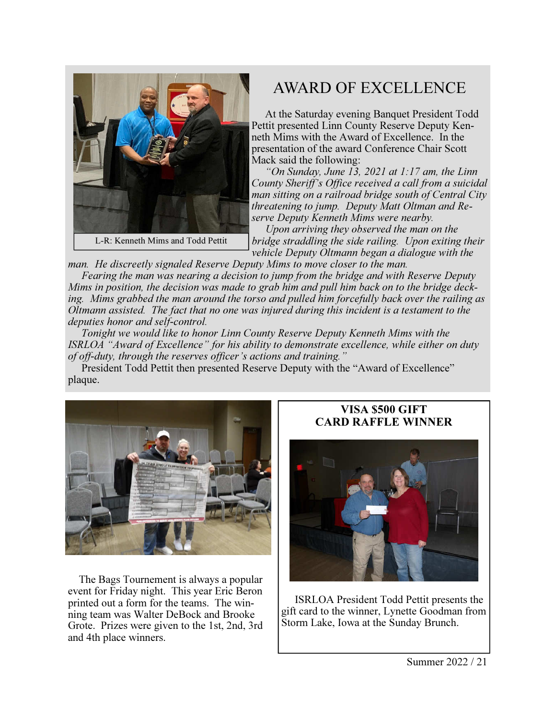

## AWARD OF EXCELLENCE

 At the Saturday evening Banquet President Todd Pettit presented Linn County Reserve Deputy Kenneth Mims with the Award of Excellence. In the presentation of the award Conference Chair Scott Mack said the following:

 "On Sunday, June 13, 2021 at 1:17 am, the Linn County Sheriff's Office received a call from a suicidal man sitting on a railroad bridge south of Central City threatening to jump. Deputy Matt Oltman and Reserve Deputy Kenneth Mims were nearby.

 Upon arriving they observed the man on the bridge straddling the side railing. Upon exiting their vehicle Deputy Oltmann began a dialogue with the

man. He discreetly signaled Reserve Deputy Mims to move closer to the man.

 Fearing the man was nearing a decision to jump from the bridge and with Reserve Deputy Mims in position, the decision was made to grab him and pull him back on to the bridge decking. Mims grabbed the man around the torso and pulled him forcefully back over the railing as Oltmann assisted. The fact that no one was injured during this incident is a testament to the deputies honor and self*-*control.

 Tonight we would like to honor Linn County Reserve Deputy Kenneth Mims with the ISRLOA "Award of Excellence" for his ability to demonstrate excellence, while either on duty of off*-*duty, through the reserves officer's actions and training."

 President Todd Pettit then presented Reserve Deputy with the "Award of Excellence" plaque.



 The Bags Tournement is always a popular event for Friday night. This year Eric Beron printed out a form for the teams. The winning team was Walter DeBock and Brooke Grote. Prizes were given to the 1st, 2nd, 3rd and 4th place winners.

## VISA \$500 GIFT CARD RAFFLE WINNER



 ISRLOA President Todd Pettit presents the gift card to the winner, Lynette Goodman from Storm Lake, Iowa at the Sunday Brunch.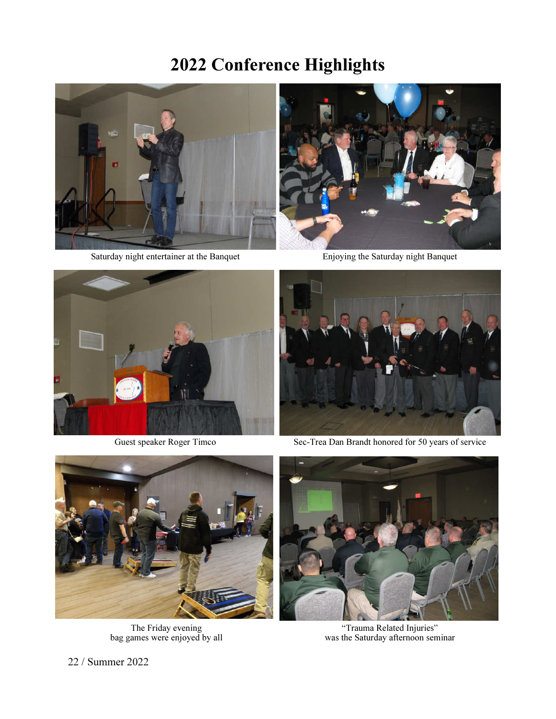## 2022 Conference Highlights



Saturday night entertainer at the Banquet



Enjoying the Saturday night Banquet



Guest speaker Roger Timco



Sec-Trea Dan Brandt honored for 50 years of service



The Friday evening bag games were enjoyed by all



"Trauma Related Injuries" was the Saturday afternoon seminar

22 / Summer 2022